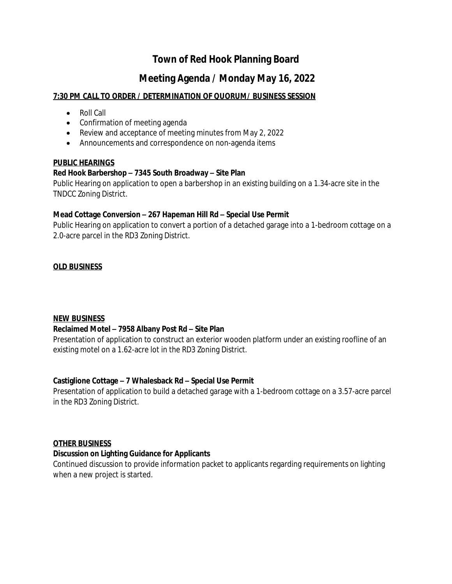# **Town of Red Hook Planning Board**

## **Meeting Agenda / Monday May 16, 2022**

## **7:30 PM CALL TO ORDER / DETERMINATION OF QUORUM/ BUSINESS SESSION**

- Roll Call
- Confirmation of meeting agenda
- Review and acceptance of meeting minutes from May 2, 2022
- Announcements and correspondence on non-agenda items

#### **PUBLIC HEARINGS**

## **Red Hook Barbershop – 7345 South Broadway – Site Plan**

Public Hearing on application to open a barbershop in an existing building on a 1.34-acre site in the TNDCC Zoning District.

#### **Mead Cottage Conversion – 267 Hapeman Hill Rd – Special Use Permit**

Public Hearing on application to convert a portion of a detached garage into a 1-bedroom cottage on a 2.0-acre parcel in the RD3 Zoning District.

## **OLD BUSINESS**

#### **NEW BUSINESS**

## **Reclaimed Motel – 7958 Albany Post Rd – Site Plan**

Presentation of application to construct an exterior wooden platform under an existing roofline of an existing motel on a 1.62-acre lot in the RD3 Zoning District.

#### **Castiglione Cottage – 7 Whalesback Rd – Special Use Permit**

Presentation of application to build a detached garage with a 1-bedroom cottage on a 3.57-acre parcel in the RD3 Zoning District.

#### **OTHER BUSINESS**

## **Discussion on Lighting Guidance for Applicants**

Continued discussion to provide information packet to applicants regarding requirements on lighting when a new project is started.